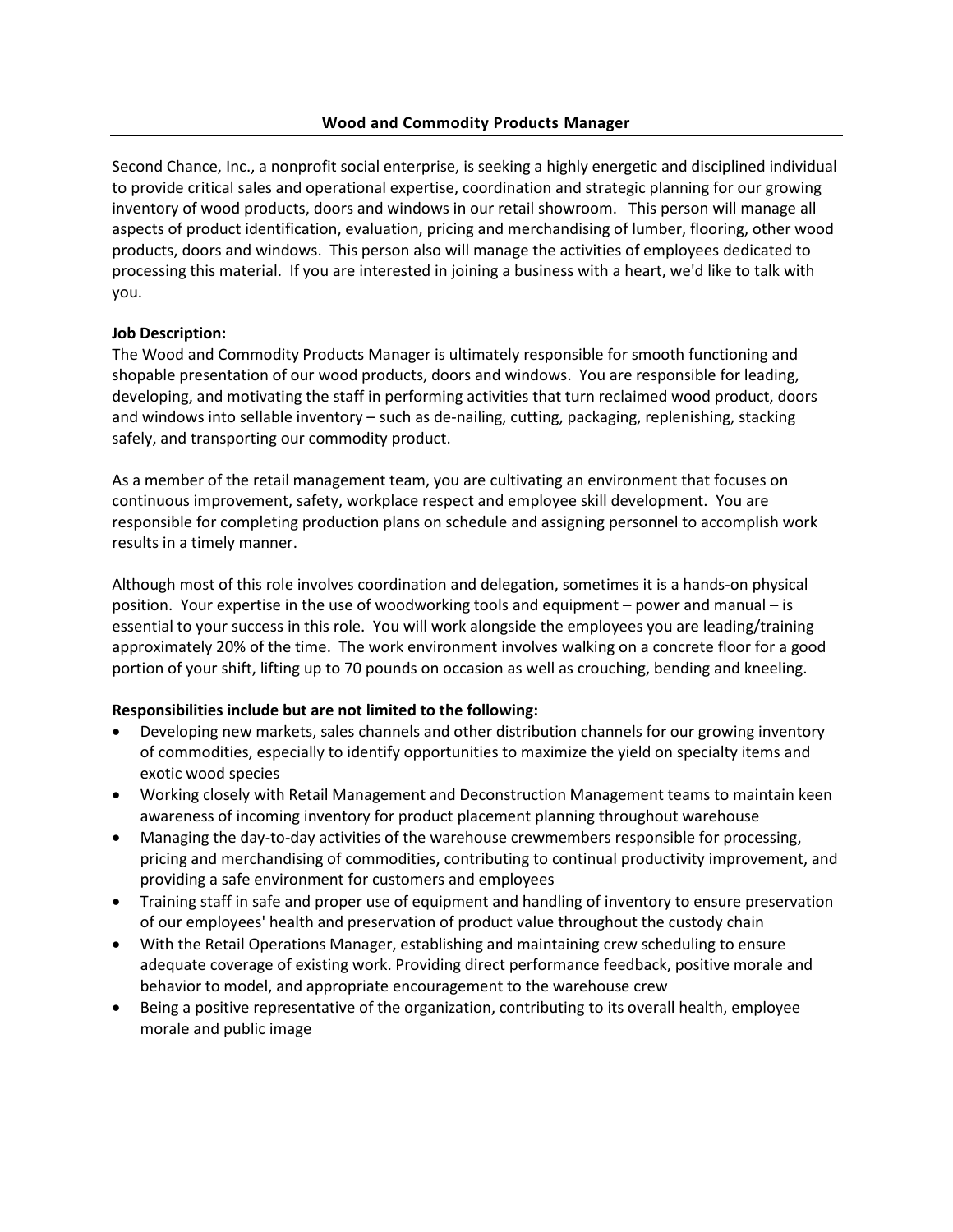Second Chance, Inc., a nonprofit social enterprise, is seeking a highly energetic and disciplined individual to provide critical sales and operational expertise, coordination and strategic planning for our growing inventory of wood products, doors and windows in our retail showroom. This person will manage all aspects of product identification, evaluation, pricing and merchandising of lumber, flooring, other wood products, doors and windows. This person also will manage the activities of employees dedicated to processing this material. If you are interested in joining a business with a heart, we'd like to talk with you.

## **Job Description:**

The Wood and Commodity Products Manager is ultimately responsible for smooth functioning and shopable presentation of our wood products, doors and windows. You are responsible for leading, developing, and motivating the staff in performing activities that turn reclaimed wood product, doors and windows into sellable inventory – such as de-nailing, cutting, packaging, replenishing, stacking safely, and transporting our commodity product.

As a member of the retail management team, you are cultivating an environment that focuses on continuous improvement, safety, workplace respect and employee skill development. You are responsible for completing production plans on schedule and assigning personnel to accomplish work results in a timely manner.

Although most of this role involves coordination and delegation, sometimes it is a hands-on physical position. Your expertise in the use of woodworking tools and equipment – power and manual – is essential to your success in this role. You will work alongside the employees you are leading/training approximately 20% of the time. The work environment involves walking on a concrete floor for a good portion of your shift, lifting up to 70 pounds on occasion as well as crouching, bending and kneeling.

## **Responsibilities include but are not limited to the following:**

- Developing new markets, sales channels and other distribution channels for our growing inventory of commodities, especially to identify opportunities to maximize the yield on specialty items and exotic wood species
- Working closely with Retail Management and Deconstruction Management teams to maintain keen awareness of incoming inventory for product placement planning throughout warehouse
- Managing the day-to-day activities of the warehouse crewmembers responsible for processing, pricing and merchandising of commodities, contributing to continual productivity improvement, and providing a safe environment for customers and employees
- Training staff in safe and proper use of equipment and handling of inventory to ensure preservation of our employees' health and preservation of product value throughout the custody chain
- With the Retail Operations Manager, establishing and maintaining crew scheduling to ensure adequate coverage of existing work. Providing direct performance feedback, positive morale and behavior to model, and appropriate encouragement to the warehouse crew
- Being a positive representative of the organization, contributing to its overall health, employee morale and public image